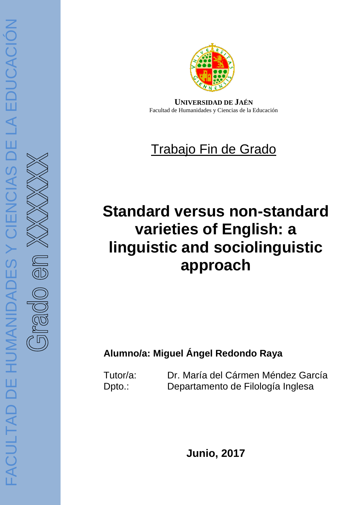

**UNIVERSIDAD DE JAÉN** Facultad de Humanidades y Ciencias de la Educación

# Trabajo Fin de Grado

# varieties of English: a **Standard versus non-standard linguistic and sociolinguistic approach**

# **Alumno/a: Miguel Ángel Redondo Raya**

Tutor/a: Dr. María del Cármen Méndez García Dpto.: Departamento de Filología Inglesa

**Junio, 2017**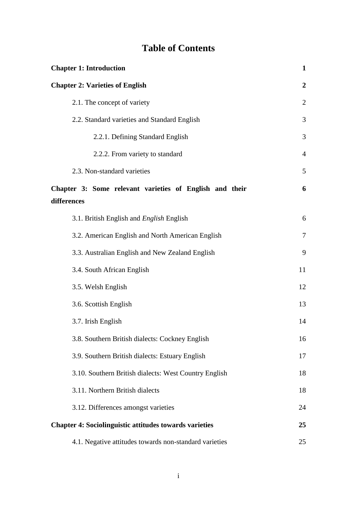### **Table of Contents**

| <b>Chapter 1: Introduction</b>                                | $\mathbf{1}$     |
|---------------------------------------------------------------|------------------|
| <b>Chapter 2: Varieties of English</b>                        | $\boldsymbol{2}$ |
| 2.1. The concept of variety                                   | $\overline{2}$   |
| 2.2. Standard varieties and Standard English                  | 3                |
| 2.2.1. Defining Standard English                              | 3                |
| 2.2.2. From variety to standard                               | $\overline{4}$   |
| 2.3. Non-standard varieties                                   | 5                |
| Chapter 3: Some relevant varieties of English and their       | 6                |
| differences                                                   |                  |
| 3.1. British English and <i>English</i> English               | 6                |
| 3.2. American English and North American English              | $\tau$           |
| 3.3. Australian English and New Zealand English               | 9                |
| 3.4. South African English                                    | 11               |
| 3.5. Welsh English                                            | 12               |
| 3.6. Scottish English                                         | 13               |
| 3.7. Irish English                                            | 14               |
| 3.8. Southern British dialects: Cockney English               | 16               |
| 3.9. Southern British dialects: Estuary English               | 17               |
| 3.10. Southern British dialects: West Country English         | 18               |
| 3.11. Northern British dialects                               | 18               |
| 3.12. Differences amongst varieties                           | 24               |
| <b>Chapter 4: Sociolinguistic attitudes towards varieties</b> | 25               |
| 4.1. Negative attitudes towards non-standard varieties        | 25               |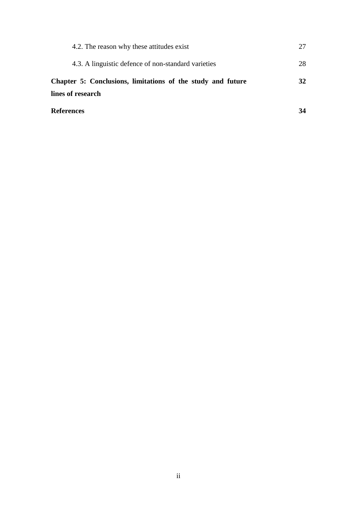| 4.2. The reason why these attitudes exist                   | 27 |
|-------------------------------------------------------------|----|
| 4.3. A linguistic defence of non-standard varieties         | 28 |
| Chapter 5: Conclusions, limitations of the study and future | 32 |
| lines of research                                           |    |
| <b>References</b>                                           | 34 |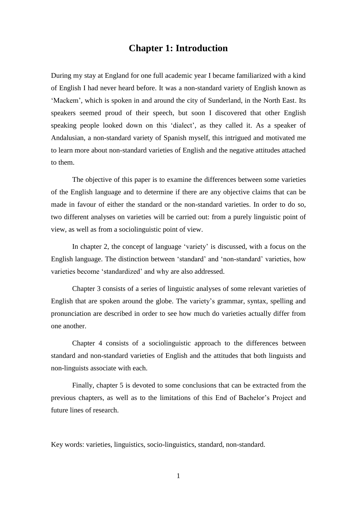### **Chapter 1: Introduction**

During my stay at England for one full academic year I became familiarized with a kind of English I had never heard before. It was a non-standard variety of English known as 'Mackem', which is spoken in and around the city of Sunderland, in the North East. Its speakers seemed proud of their speech, but soon I discovered that other English speaking people looked down on this 'dialect', as they called it. As a speaker of Andalusian, a non-standard variety of Spanish myself, this intrigued and motivated me to learn more about non-standard varieties of English and the negative attitudes attached to them.

The objective of this paper is to examine the differences between some varieties of the English language and to determine if there are any objective claims that can be made in favour of either the standard or the non-standard varieties. In order to do so, two different analyses on varieties will be carried out: from a purely linguistic point of view, as well as from a sociolinguistic point of view.

In chapter 2, the concept of language 'variety' is discussed, with a focus on the English language. The distinction between 'standard' and 'non-standard' varieties, how varieties become 'standardized' and why are also addressed.

Chapter 3 consists of a series of linguistic analyses of some relevant varieties of English that are spoken around the globe. The variety's grammar, syntax, spelling and pronunciation are described in order to see how much do varieties actually differ from one another.

Chapter 4 consists of a sociolinguistic approach to the differences between standard and non-standard varieties of English and the attitudes that both linguists and non-linguists associate with each.

Finally, chapter 5 is devoted to some conclusions that can be extracted from the previous chapters, as well as to the limitations of this End of Bachelor's Project and future lines of research.

Key words: varieties, linguistics, socio-linguistics, standard, non-standard.

1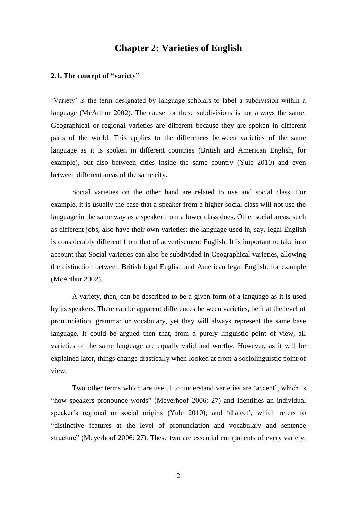### **Chapter 2: Varieties of English**

#### **2.1. The concept of "variety"**

'Variety' is the term designated by language scholars to label a subdivision within a language (McArthur 2002). The cause for these subdivisions is not always the same. Geographical or regional varieties are different because they are spoken in different parts of the world. This applies to the differences between varieties of the same language as it is spoken in different countries (British and American English, for example), but also between cities inside the same country (Yule 2010) and even between different areas of the same city.

Social varieties on the other hand are related to use and social class. For example, it is usually the case that a speaker from a higher social class will not use the language in the same way as a speaker from a lower class does. Other social areas, such as different jobs, also have their own varieties: the language used in, say, legal English is considerably different from that of advertisement English. It is important to take into account that Social varieties can also be subdivided in Geographical varieties, allowing the distinction between British legal English and American legal English, for example (McArthur 2002).

A variety, then, can be described to be a given form of a language as it is used by its speakers. There can be apparent differences between varieties, be it at the level of pronunciation, grammar or vocabulary, yet they will always represent the same base language. It could be argued then that, from a purely linguistic point of view, all varieties of the same language are equally valid and worthy. However, as it will be explained later, things change drastically when looked at from a sociolinguistic point of view.

Two other terms which are useful to understand varieties are 'accent', which is "how speakers pronounce words" (Meyerhoof 2006: 27) and identifies an individual speaker's regional or social origins (Yule 2010); and 'dialect', which refers to "distinctive features at the level of pronunciation and vocabulary and sentence structure" (Meyerhoof 2006: 27). These two are essential components of every variety: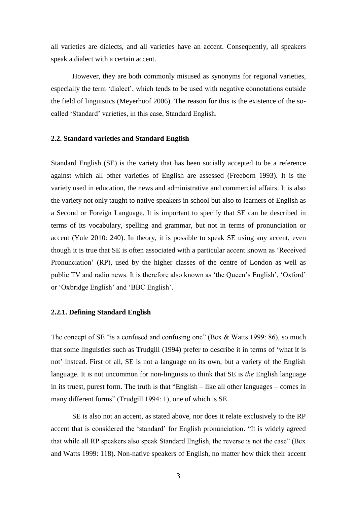all varieties are dialects, and all varieties have an accent. Consequently, all speakers speak a dialect with a certain accent.

However, they are both commonly misused as synonyms for regional varieties, especially the term 'dialect', which tends to be used with negative connotations outside the field of linguistics (Meyerhoof 2006). The reason for this is the existence of the socalled 'Standard' varieties, in this case, Standard English.

#### **2.2. Standard varieties and Standard English**

Standard English (SE) is the variety that has been socially accepted to be a reference against which all other varieties of English are assessed (Freeborn 1993). It is the variety used in education, the news and administrative and commercial affairs. It is also the variety not only taught to native speakers in school but also to learners of English as a Second or Foreign Language. It is important to specify that SE can be described in terms of its vocabulary, spelling and grammar, but not in terms of pronunciation or accent (Yule 2010: 240). In theory, it is possible to speak SE using any accent, even though it is true that SE is often associated with a particular accent known as 'Received Pronunciation' (RP), used by the higher classes of the centre of London as well as public TV and radio news. It is therefore also known as 'the Queen's English', 'Oxford' or 'Oxbridge English' and 'BBC English'.

#### **2.2.1. Defining Standard English**

The concept of SE "is a confused and confusing one" (Bex & Watts 1999: 86), so much that some linguistics such as Trudgill (1994) prefer to describe it in terms of 'what it is not' instead. First of all, SE is not a language on its own, but a variety of the English language. It is not uncommon for non-linguists to think that SE is *the* English language in its truest, purest form. The truth is that "English – like all other languages – comes in many different forms" (Trudgill 1994: 1), one of which is SE.

SE is also not an accent, as stated above, nor does it relate exclusively to the RP accent that is considered the 'standard' for English pronunciation. "It is widely agreed that while all RP speakers also speak Standard English, the reverse is not the case" (Bex and Watts 1999: 118). Non-native speakers of English, no matter how thick their accent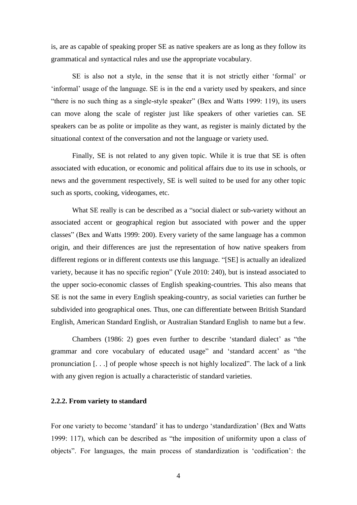is, are as capable of speaking proper SE as native speakers are as long as they follow its grammatical and syntactical rules and use the appropriate vocabulary.

SE is also not a style, in the sense that it is not strictly either 'formal' or 'informal' usage of the language. SE is in the end a variety used by speakers, and since "there is no such thing as a single-style speaker" (Bex and Watts 1999: 119), its users can move along the scale of register just like speakers of other varieties can. SE speakers can be as polite or impolite as they want, as register is mainly dictated by the situational context of the conversation and not the language or variety used.

Finally, SE is not related to any given topic. While it is true that SE is often associated with education, or economic and political affairs due to its use in schools, or news and the government respectively, SE is well suited to be used for any other topic such as sports, cooking, videogames, etc.

What SE really is can be described as a "social dialect or sub-variety without an associated accent or geographical region but associated with power and the upper classes" (Bex and Watts 1999: 200). Every variety of the same language has a common origin, and their differences are just the representation of how native speakers from different regions or in different contexts use this language. "[SE] is actually an idealized variety, because it has no specific region" (Yule 2010: 240), but is instead associated to the upper socio-economic classes of English speaking-countries. This also means that SE is not the same in every English speaking-country, as social varieties can further be subdivided into geographical ones. Thus, one can differentiate between British Standard English, American Standard English, or Australian Standard English to name but a few.

Chambers (1986: 2) goes even further to describe 'standard dialect' as "the grammar and core vocabulary of educated usage" and 'standard accent' as "the pronunciation [. . .] of people whose speech is not highly localized". The lack of a link with any given region is actually a characteristic of standard varieties.

#### **2.2.2. From variety to standard**

For one variety to become 'standard' it has to undergo 'standardization' (Bex and Watts 1999: 117), which can be described as "the imposition of uniformity upon a class of objects". For languages, the main process of standardization is 'codification': the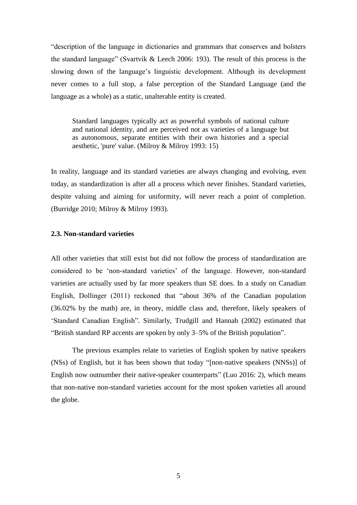"description of the language in dictionaries and grammars that conserves and bolsters the standard language" (Svartvik & Leech 2006: 193). The result of this process is the slowing down of the language's linguistic development. Although its development never comes to a full stop, a false perception of the Standard Language (and the language as a whole) as a static, unalterable entity is created.

Standard languages typically act as powerful symbols of national culture and national identity, and are perceived not as varieties of a language but as autonomous, separate entities with their own histories and a special aesthetic, 'pure' value. (Milroy & Milroy 1993: 15)

In reality, language and its standard varieties are always changing and evolving, even today, as standardization is after all a process which never finishes. Standard varieties, despite valuing and aiming for uniformity, will never reach a point of completion. (Burridge 2010; Milroy & Milroy 1993).

#### **2.3. Non-standard varieties**

All other varieties that still exist but did not follow the process of standardization are considered to be 'non-standard varieties' of the language. However, non-standard varieties are actually used by far more speakers than SE does. In a study on Canadian English, Dollinger (2011) reckoned that "about 36% of the Canadian population (36.02% by the math) are, in theory, middle class and, therefore, likely speakers of 'Standard Canadian English". Similarly, Trudgill and Hannah (2002) estimated that "British standard RP accents are spoken by only 3–5% of the British population".

The previous examples relate to varieties of English spoken by native speakers (NSs) of English, but it has been shown that today "[non-native speakers (NNSs)] of English now outnumber their native-speaker counterparts" (Luo 2016: 2), which means that non-native non-standard varieties account for the most spoken varieties all around the globe.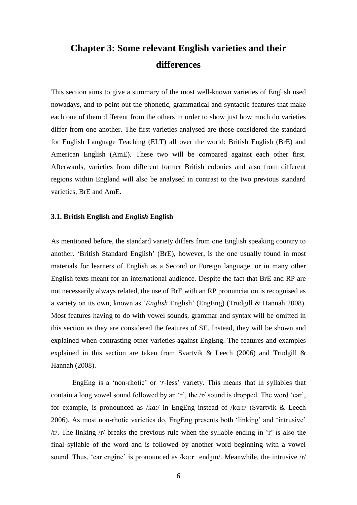# **Chapter 3: Some relevant English varieties and their differences**

This section aims to give a summary of the most well-known varieties of English used nowadays, and to point out the phonetic, grammatical and syntactic features that make each one of them different from the others in order to show just how much do varieties differ from one another. The first varieties analysed are those considered the standard for English Language Teaching (ELT) all over the world: British English (BrE) and American English (AmE). These two will be compared against each other first. Afterwards, varieties from different former British colonies and also from different regions within England will also be analysed in contrast to the two previous standard varieties, BrE and AmE.

#### **3.1. British English and** *English* **English**

As mentioned before, the standard variety differs from one English speaking country to another. 'British Standard English' (BrE), however, is the one usually found in most materials for learners of English as a Second or Foreign language, or in many other English texts meant for an international audience. Despite the fact that BrE and RP are not necessarily always related, the use of BrE with an RP pronunciation is recognised as a variety on its own, known as '*English* English' (EngEng) (Trudgill & Hannah 2008). Most features having to do with vowel sounds, grammar and syntax will be omitted in this section as they are considered the features of SE. Instead, they will be shown and explained when contrasting other varieties against EngEng. The features and examples explained in this section are taken from Svartvik & Leech (2006) and Trudgill & Hannah (2008).

EngEng is a 'non-rhotic' or '*r*-less' variety. This means that in syllables that contain a long vowel sound followed by an 'r', the /r/ sound is dropped. The word 'car', for example, is pronounced as /kɑ:/ in EngEng instead of /kɑ:r/ (Svartvik & Leech 2006). As most non-rhotic varieties do, EngEng presents both 'linking' and 'intrusive'  $/r$ . The linking  $/r$  breaks the previous rule when the syllable ending in 'r' is also the final syllable of the word and is followed by another word beginning with a vowel sound. Thus, 'car engine' is pronounced as /kɑ:**r** ˈendʒɪn/. Meanwhile, the intrusive /r/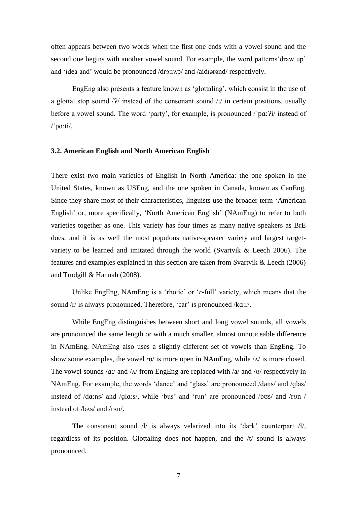often appears between two words when the first one ends with a vowel sound and the second one begins with another vowel sound. For example, the word patterns'draw up' and 'idea and' would be pronounced /drɔ:rʌp/ and /aidɪərənd/ respectively.

EngEng also presents a feature known as 'glottaling', which consist in the use of a glottal stop sound  $\frac{2}{l}$  instead of the consonant sound  $\frac{1}{l}$  in certain positions, usually before a vowel sound. The word 'party', for example, is pronounced /'pɑ: $Pi'$  instead of  $/$ 'pa:ti/.

#### **3.2. American English and North American English**

There exist two main varieties of English in North America: the one spoken in the United States, known as USEng, and the one spoken in Canada, known as CanEng. Since they share most of their characteristics, linguists use the broader term 'American English' or, more specifically, 'North American English' (NAmEng) to refer to both varieties together as one. This variety has four times as many native speakers as BrE does, and it is as well the most populous native-speaker variety and largest targetvariety to be learned and imitated through the world (Svartvik & Leech 2006). The features and examples explained in this section are taken from Svartvik & Leech (2006) and Trudgill & Hannah (2008).

Unlike EngEng, NAmEng is a 'rhotic' or '*r*-full' variety, which means that the sound /r/ is always pronounced. Therefore, 'car' is pronounced /kɑ:r/.

While EngEng distinguishes between short and long vowel sounds, all vowels are pronounced the same length or with a much smaller, almost unnoticeable difference in NAmEng. NAmEng also uses a slightly different set of vowels than EngEng. To show some examples, the vowel  $\sqrt{p}$  is more open in NAmEng, while  $\sqrt{\Delta}$  is more closed. The vowel sounds  $\alpha$ :/ and  $\alpha$  from EngEng are replaced with  $\alpha$  and  $\alpha$  respectively in NAmEng. For example, the words 'dance' and 'glass' are pronounced /dans/ and /ɡlas/ instead of /dɑːns/ and /ɡlɑːs/, while 'bus' and 'run' are pronounced /bʊs/ and /rʊn / instead of /bʌs/ and /rʌn/.

The consonant sound  $\Lambda$  is always velarized into its 'dark' counterpart  $\Lambda$ , regardless of its position. Glottaling does not happen, and the /t/ sound is always pronounced.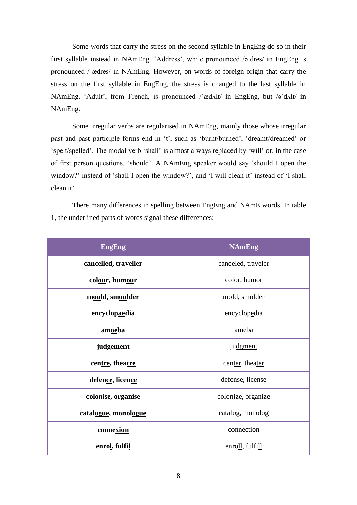Some words that carry the stress on the second syllable in EngEng do so in their first syllable instead in NAmEng. 'Address', while pronounced /əˈdres/ in EngEng is pronounced /ˈædres/ in NAmEng. However, on words of foreign origin that carry the stress on the first syllable in EngEng, the stress is changed to the last syllable in NAmEng. 'Adult', from French, is pronounced /ˈædʌlt/ in EngEng, but /əˈdʌlt/ in NAmEng.

Some irregular verbs are regularised in NAmEng, mainly those whose irregular past and past participle forms end in 't', such as 'burnt/burned', 'dreamt/dreamed' or 'spelt/spelled'. The modal verb 'shall' is almost always replaced by 'will' or, in the case of first person questions, 'should'. A NAmEng speaker would say 'should I open the window?' instead of 'shall I open the window?', and 'I will clean it' instead of 'I shall clean it'.

There many differences in spelling between EngEng and NAmE words. In table 1, the underlined parts of words signal these differences:

| <b>EngEng</b>        | <b>NAmEng</b>      |
|----------------------|--------------------|
| cancelled, traveller | canceled, traveler |
| colour, humour       | color, humor       |
| mould, smoulder      | mold, smolder      |
| encyclopaedia        | encyclopedia       |
| amoeba               | ameba              |
| judgement            | judgment           |
| centre, theatre      | center, theater    |
| defence, licence     | defense, license   |
| colonise, organise   | colonize, organize |
| catalogue, monologue | catalog, monolog   |
| connexion            | connection         |
| enrol, fulfil        | enroll, fulfill    |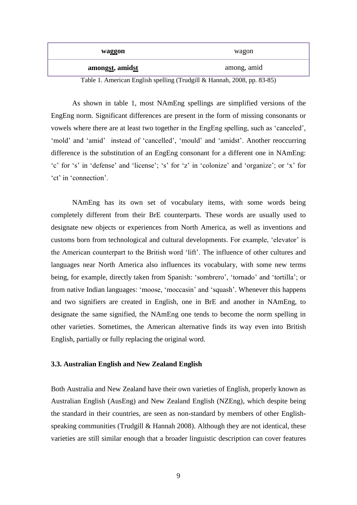| waggon          | wagon       |
|-----------------|-------------|
| amongst, amidst | among, amid |

Table 1. American English spelling (Trudgill & Hannah, 2008, pp. 83-85)

As shown in table 1, most NAmEng spellings are simplified versions of the EngEng norm. Significant differences are present in the form of missing consonants or vowels where there are at least two together in the EngEng spelling, such as 'canceled', 'mold' and 'amid' instead of 'cancelled', 'mould' and 'amidst'. Another reoccurring difference is the substitution of an EngEng consonant for a different one in NAmEng: 'c' for 's' in 'defense' and 'license'; 's' for 'z' in 'colonize' and 'organize'; or 'x' for 'ct' in 'connection'.

NAmEng has its own set of vocabulary items, with some words being completely different from their BrE counterparts. These words are usually used to designate new objects or experiences from North America, as well as inventions and customs born from technological and cultural developments. For example, 'elevator' is the American counterpart to the British word 'lift'. The influence of other cultures and languages near North America also influences its vocabulary, with some new terms being, for example, directly taken from Spanish: 'sombrero', 'tornado' and 'tortilla'; or from native Indian languages: 'moose, 'moccasin' and 'squash'. Whenever this happens and two signifiers are created in English, one in BrE and another in NAmEng, to designate the same signified, the NAmEng one tends to become the norm spelling in other varieties. Sometimes, the American alternative finds its way even into British English, partially or fully replacing the original word.

#### **3.3. Australian English and New Zealand English**

Both Australia and New Zealand have their own varieties of English, properly known as Australian English (AusEng) and New Zealand English (NZEng), which despite being the standard in their countries, are seen as non-standard by members of other Englishspeaking communities (Trudgill & Hannah 2008). Although they are not identical, these varieties are still similar enough that a broader linguistic description can cover features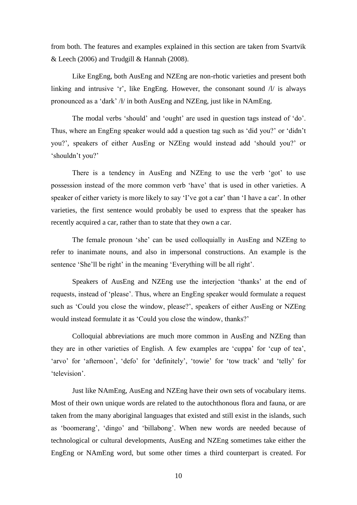from both. The features and examples explained in this section are taken from Svartvik & Leech (2006) and Trudgill & Hannah (2008).

Like EngEng, both AusEng and NZEng are non-rhotic varieties and present both linking and intrusive 'r', like EngEng. However, the consonant sound  $\Lambda$  is always pronounced as a 'dark' /ł/ in both AusEng and NZEng, just like in NAmEng.

The modal verbs 'should' and 'ought' are used in question tags instead of 'do'. Thus, where an EngEng speaker would add a question tag such as 'did you?' or 'didn't you?', speakers of either AusEng or NZEng would instead add 'should you?' or 'shouldn't you?'

There is a tendency in AusEng and NZEng to use the verb 'got' to use possession instead of the more common verb 'have' that is used in other varieties. A speaker of either variety is more likely to say 'I've got a car' than 'I have a car'. In other varieties, the first sentence would probably be used to express that the speaker has recently acquired a car, rather than to state that they own a car.

The female pronoun 'she' can be used colloquially in AusEng and NZEng to refer to inanimate nouns, and also in impersonal constructions. An example is the sentence 'She'll be right' in the meaning 'Everything will be all right'.

Speakers of AusEng and NZEng use the interjection 'thanks' at the end of requests, instead of 'please'. Thus, where an EngEng speaker would formulate a request such as 'Could you close the window, please?', speakers of either AusEng or NZEng would instead formulate it as 'Could you close the window, thanks?'

Colloquial abbreviations are much more common in AusEng and NZEng than they are in other varieties of English. A few examples are 'cuppa' for 'cup of tea', 'arvo' for 'afternoon', 'defo' for 'definitely', 'towie' for 'tow track' and 'telly' for 'television'.

Just like NAmEng, AusEng and NZEng have their own sets of vocabulary items. Most of their own unique words are related to the autochthonous flora and fauna, or are taken from the many aboriginal languages that existed and still exist in the islands, such as 'boomerang', 'dingo' and 'billabong'. When new words are needed because of technological or cultural developments, AusEng and NZEng sometimes take either the EngEng or NAmEng word, but some other times a third counterpart is created. For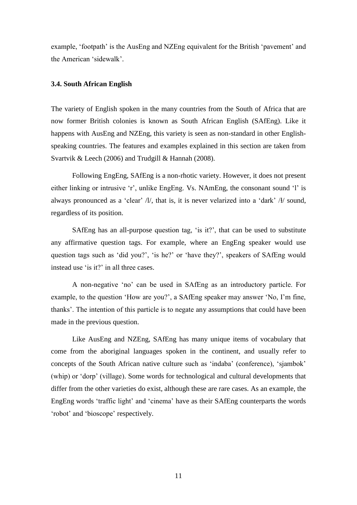example, 'footpath' is the AusEng and NZEng equivalent for the British 'pavement' and the American 'sidewalk'.

#### **3.4. South African English**

The variety of English spoken in the many countries from the South of Africa that are now former British colonies is known as South African English (SAfEng). Like it happens with AusEng and NZEng, this variety is seen as non-standard in other Englishspeaking countries. The features and examples explained in this section are taken from Svartvik & Leech (2006) and Trudgill & Hannah (2008).

Following EngEng, SAfEng is a non-rhotic variety. However, it does not present either linking or intrusive 'r', unlike EngEng. Vs. NAmEng, the consonant sound 'l' is always pronounced as a 'clear'  $/t/$ , that is, it is never velarized into a 'dark'  $/t/$  sound, regardless of its position.

SAfEng has an all-purpose question tag, 'is it?', that can be used to substitute any affirmative question tags. For example, where an EngEng speaker would use question tags such as 'did you?', 'is he?' or 'have they?', speakers of SAfEng would instead use 'is it?' in all three cases.

A non-negative 'no' can be used in SAfEng as an introductory particle. For example, to the question 'How are you?', a SAfEng speaker may answer 'No, I'm fine, thanks'. The intention of this particle is to negate any assumptions that could have been made in the previous question.

Like AusEng and NZEng, SAfEng has many unique items of vocabulary that come from the aboriginal languages spoken in the continent, and usually refer to concepts of the South African native culture such as 'indaba' (conference), 'sjambok' (whip) or 'dorp' (village). Some words for technological and cultural developments that differ from the other varieties do exist, although these are rare cases. As an example, the EngEng words 'traffic light' and 'cinema' have as their SAfEng counterparts the words 'robot' and 'bioscope' respectively.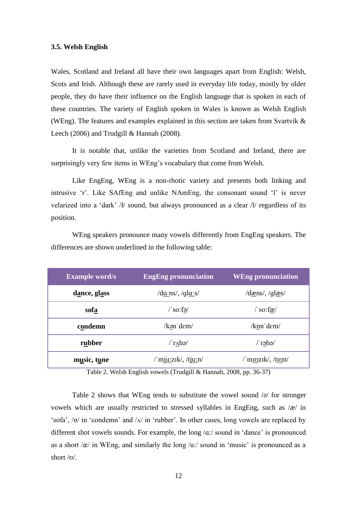#### **3.5. Welsh English**

Wales, Scotland and Ireland all have their own languages apart from English: Welsh, Scots and Irish. Although these are rarely used in everyday life today, mostly by older people, they do have their influence on the English language that is spoken in each of these countries. The variety of English spoken in Wales is known as Welsh English (WEng). The features and examples explained in this section are taken from Svartvik & Leech (2006) and Trudgill & Hannah (2008).

It is notable that, unlike the varieties from Scotland and Ireland, there are surprisingly very few items in WEng's vocabulary that come from Welsh.

Like EngEng, WEng is a non-rhotic variety and presents both linking and intrusive 'r'. Like SAfEng and unlike NAmEng, the consonant sound 'l' is never velarized into a 'dark' /ł/ sound, but always pronounced as a clear /l/ regardless of its position.

WEng speakers pronounce many vowels differently from EngEng speakers. The differences are shown underlined in the following table:

| <b>Example word/s</b> | <b>EngEng pronunciation</b>                   | <b>WEng pronunciation</b>                                                                                                                                                                                                                                                                                                                                                                                                                                                                                                 |
|-----------------------|-----------------------------------------------|---------------------------------------------------------------------------------------------------------------------------------------------------------------------------------------------------------------------------------------------------------------------------------------------------------------------------------------------------------------------------------------------------------------------------------------------------------------------------------------------------------------------------|
| dance, glass          | $\frac{d\alpha \text{ns}}{q\alpha \text{ns}}$ | $\frac{\text{d} \times \text{d} \times \text{d} \times \text{d} \times \text{d} \times \text{d} \times \text{d} \times \text{d} \times \text{d} \times \text{d} \times \text{d} \times \text{d} \times \text{d} \times \text{d} \times \text{d} \times \text{d} \times \text{d} \times \text{d} \times \text{d} \times \text{d} \times \text{d} \times \text{d} \times \text{d} \times \text{d} \times \text{d} \times \text{d} \times \text{d} \times \text{d} \times \text{d} \times \text{d} \times \text{d} \times \$ |
| sofa                  | $\sqrt{\text{so:fa}}$                         | $\sqrt{\text{so:fa}}$                                                                                                                                                                                                                                                                                                                                                                                                                                                                                                     |
| condemn               | /kən dem/                                     | /kpn'dem/                                                                                                                                                                                                                                                                                                                                                                                                                                                                                                                 |
| rubber                | $/$ r $\Delta$ bə $/$                         | /ˈrəbə/                                                                                                                                                                                                                                                                                                                                                                                                                                                                                                                   |
| music, tune           | /ˈmjuːzɪk/, /tjuːn/                           | /ˈmɪʊzɪk/, /tɪʊn/                                                                                                                                                                                                                                                                                                                                                                                                                                                                                                         |

Table 2. Welsh English vowels (Trudgill & Hannah, 2008, pp. 36-37)

Table 2 shows that WEng tends to substitute the vowel sound /ə/ for stronger vowels which are usually restricted to stressed syllables in EngEng, such as /æ/ in 'sofa', /ɒ/ in 'condemn' and /ʌ/ in 'rubber'. In other cases, long vowels are replaced by different shot vowels sounds. For example, the long  $\alpha$ :/ sound in 'dance' is pronounced as a short  $\alpha$  in WEng, and similarly the long  $\alpha$ :/ sound in 'music' is pronounced as a short /ʊ/.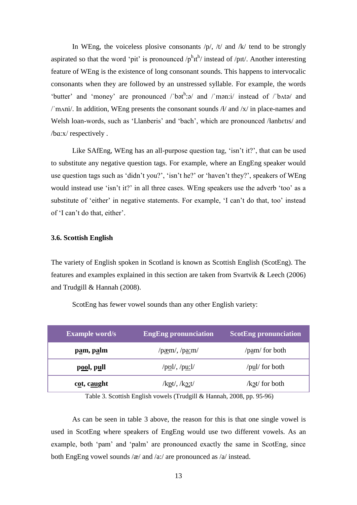In WEng, the voiceless plosive consonants  $/p/$ ,  $/t/$  and  $/k/$  tend to be strongly aspirated so that the word 'pit' is pronounced  $/p^h$ <sup>th</sup>/ instead of /pɪt/. Another interesting feature of WEng is the existence of long consonant sounds. This happens to intervocalic consonants when they are followed by an unstressed syllable. For example, the words 'butter' and 'money' are pronounced /'bəth: a and /'mən: i/ instead of /'b^tə/ and /'mʌni/. In addition, WEng presents the consonant sounds  $A/$  and  $\sqrt{x}$  in place-names and Welsh loan-words, such as 'Llanberis' and 'bach', which are pronounced /łanbɛtɪs/ and /bɑ:x/ respectively .

Like SAfEng, WEng has an all-purpose question tag, 'isn't it?', that can be used to substitute any negative question tags. For example, where an EngEng speaker would use question tags such as 'didn't you?', 'isn't he?' or 'haven't they?', speakers of WEng would instead use 'isn't it?' in all three cases. WEng speakers use the adverb 'too' as a substitute of 'either' in negative statements. For example, 'I can't do that, too' instead of 'I can't do that, either'.

#### **3.6. Scottish English**

The variety of English spoken in Scotland is known as Scottish English (ScotEng). The features and examples explained in this section are taken from Svartvik & Leech (2006) and Trudgill & Hannah (2008).

| <b>Example word/s</b> | <b>EngEng pronunciation</b>                            | <b>ScotEng pronunciation</b> |
|-----------------------|--------------------------------------------------------|------------------------------|
| p <u>a</u> m, palm    | $/$ p <u>æ</u> m/, $/$ p <u>a:</u> m/                  | $\gamma$ /pam/ for both      |
| pool, pull            | $\sqrt{p_{\underline{v}}l}/\sqrt{p_{\underline{u}}l}/$ | $\gamma$ /pul/ for both      |
| cot, caught           | $/kpt/$ , $/ko:t/$                                     | $\lambda x$ for both         |

ScotEng has fewer vowel sounds than any other English variety:

Table 3. Scottish English vowels (Trudgill & Hannah, 2008, pp. 95-96)

As can be seen in table 3 above, the reason for this is that one single vowel is used in ScotEng where speakers of EngEng would use two different vowels. As an example, both 'pam' and 'palm' are pronounced exactly the same in ScotEng, since both EngEng vowel sounds /æ/ and /a:/ are pronounced as /a/ instead.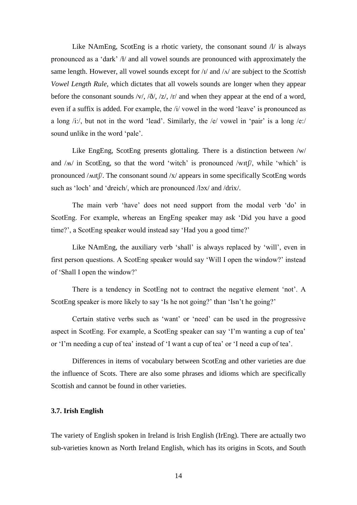Like NAmEng, ScotEng is a rhotic variety, the consonant sound  $\Lambda$  is always pronounced as a 'dark' /ɫ/ and all vowel sounds are pronounced with approximately the same length. However, all vowel sounds except for /ɪ/ and /ʌ/ are subject to the *Scottish Vowel Length Rule*, which dictates that all vowels sounds are longer when they appear before the consonant sounds /v/, / $\delta$ /, /z/, /r/ and when they appear at the end of a word, even if a suffix is added. For example, the /i/ vowel in the word 'leave' is pronounced as a long /i:/, but not in the word 'lead'. Similarly, the /e/ vowel in 'pair' is a long /e:/ sound unlike in the word 'pale'.

Like EngEng, ScotEng presents glottaling. There is a distinction between /w/ and  $/M$  in ScotEng, so that the word 'witch' is pronounced /wit $\beta$ , while 'which' is pronounced /ʍɪtʃ/. The consonant sound /x/ appears in some specifically ScotEng words such as 'loch' and 'dreich/, which are pronounced /lɔx/ and /drix/.

The main verb 'have' does not need support from the modal verb 'do' in ScotEng. For example, whereas an EngEng speaker may ask 'Did you have a good time?', a ScotEng speaker would instead say 'Had you a good time?'

Like NAmEng, the auxiliary verb 'shall' is always replaced by 'will', even in first person questions. A ScotEng speaker would say 'Will I open the window?' instead of 'Shall I open the window?'

There is a tendency in ScotEng not to contract the negative element 'not'. A ScotEng speaker is more likely to say 'Is he not going?' than 'Isn't he going?'

Certain stative verbs such as 'want' or 'need' can be used in the progressive aspect in ScotEng. For example, a ScotEng speaker can say 'I'm wanting a cup of tea' or 'I'm needing a cup of tea' instead of 'I want a cup of tea' or 'I need a cup of tea'.

Differences in items of vocabulary between ScotEng and other varieties are due the influence of Scots. There are also some phrases and idioms which are specifically Scottish and cannot be found in other varieties.

#### **3.7. Irish English**

The variety of English spoken in Ireland is Irish English (IrEng). There are actually two sub-varieties known as North Ireland English, which has its origins in Scots, and South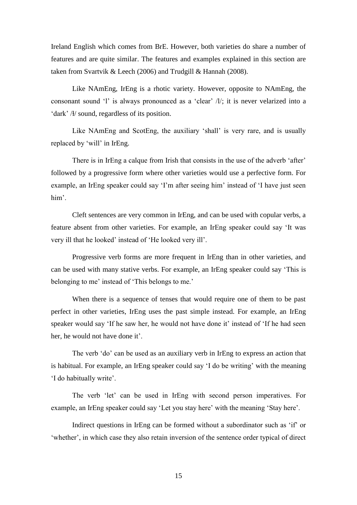Ireland English which comes from BrE. However, both varieties do share a number of features and are quite similar. The features and examples explained in this section are taken from Svartvik & Leech (2006) and Trudgill & Hannah (2008).

Like NAmEng, IrEng is a rhotic variety. However, opposite to NAmEng, the consonant sound 'l' is always pronounced as a 'clear' /l/; it is never velarized into a 'dark' /ɫ/ sound, regardless of its position.

Like NAmEng and ScotEng, the auxiliary 'shall' is very rare, and is usually replaced by 'will' in IrEng.

There is in IrEng a calque from Irish that consists in the use of the adverb 'after' followed by a progressive form where other varieties would use a perfective form. For example, an IrEng speaker could say 'I'm after seeing him' instead of 'I have just seen him'.

Cleft sentences are very common in IrEng, and can be used with copular verbs, a feature absent from other varieties. For example, an IrEng speaker could say 'It was very ill that he looked' instead of 'He looked very ill'.

Progressive verb forms are more frequent in IrEng than in other varieties, and can be used with many stative verbs. For example, an IrEng speaker could say 'This is belonging to me' instead of 'This belongs to me.'

When there is a sequence of tenses that would require one of them to be past perfect in other varieties, IrEng uses the past simple instead. For example, an IrEng speaker would say 'If he saw her, he would not have done it' instead of 'If he had seen her, he would not have done it'.

The verb 'do' can be used as an auxiliary verb in IrEng to express an action that is habitual. For example, an IrEng speaker could say 'I do be writing' with the meaning 'I do habitually write'.

The verb 'let' can be used in IrEng with second person imperatives. For example, an IrEng speaker could say 'Let you stay here' with the meaning 'Stay here'.

Indirect questions in IrEng can be formed without a subordinator such as 'if' or 'whether', in which case they also retain inversion of the sentence order typical of direct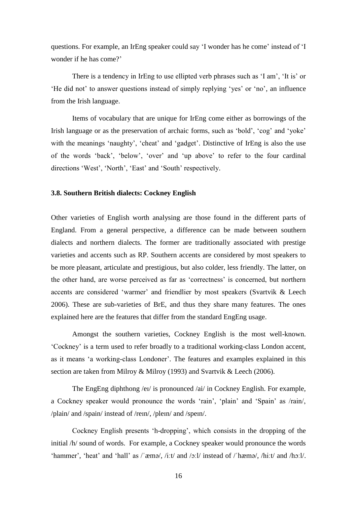questions. For example, an IrEng speaker could say 'I wonder has he come' instead of 'I wonder if he has come?'

There is a tendency in IrEng to use ellipted verb phrases such as 'I am', 'It is' or 'He did not' to answer questions instead of simply replying 'yes' or 'no', an influence from the Irish language.

Items of vocabulary that are unique for IrEng come either as borrowings of the Irish language or as the preservation of archaic forms, such as 'bold', 'cog' and 'yoke' with the meanings 'naughty', 'cheat' and 'gadget'. Distinctive of IrEng is also the use of the words 'back', 'below', 'over' and 'up above' to refer to the four cardinal directions 'West', 'North', 'East' and 'South' respectively.

#### **3.8. Southern British dialects: Cockney English**

Other varieties of English worth analysing are those found in the different parts of England. From a general perspective, a difference can be made between southern dialects and northern dialects. The former are traditionally associated with prestige varieties and accents such as RP. Southern accents are considered by most speakers to be more pleasant, articulate and prestigious, but also colder, less friendly. The latter, on the other hand, are worse perceived as far as 'correctness' is concerned, but northern accents are considered 'warmer' and friendlier by most speakers (Svartvik & Leech 2006). These are sub-varieties of BrE, and thus they share many features. The ones explained here are the features that differ from the standard EngEng usage.

Amongst the southern varieties, Cockney English is the most well-known. 'Cockney' is a term used to refer broadly to a traditional working-class London accent, as it means 'a working-class Londoner'. The features and examples explained in this section are taken from Milroy & Milroy (1993) and Svartvik & Leech (2006).

The EngEng diphthong /eɪ/ is pronounced /ai/ in Cockney English. For example, a Cockney speaker would pronounce the words 'rain', 'plain' and 'Spain' as /rain/, /plain/ and /spain/ instead of /reɪn/, /pleɪn/ and /speɪn/.

Cockney English presents 'h-dropping', which consists in the dropping of the initial /h/ sound of words. For example, a Cockney speaker would pronounce the words 'hammer', 'heat' and 'hall' as /ˈæmə/, /iːt/ and /ɔːl/ instead of /ˈhæmə/, /hiːt/ and /hɔːl/.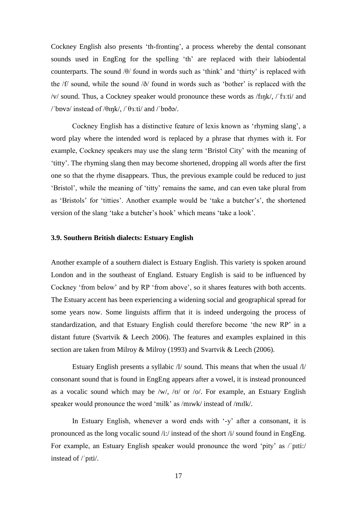Cockney English also presents 'th-fronting', a process whereby the dental consonant sounds used in EngEng for the spelling 'th' are replaced with their labiodental counterparts. The sound /θ/ found in words such as 'think' and 'thirty' is replaced with the /f/ sound, while the sound /ð/ found in words such as 'bother' is replaced with the /v/ sound. Thus, a Cockney speaker would pronounce these words as /fɪŋk/, /ˈfɜːti/ and /'b $pvə$ / instead of / $\theta$ Ink/, /' $\theta$ 3:ti/ and /'b $\theta$  $\delta$  $\phi$ /.

Cockney English has a distinctive feature of lexis known as 'rhyming slang', a word play where the intended word is replaced by a phrase that rhymes with it. For example, Cockney speakers may use the slang term 'Bristol City' with the meaning of 'titty'. The rhyming slang then may become shortened, dropping all words after the first one so that the rhyme disappears. Thus, the previous example could be reduced to just 'Bristol', while the meaning of 'titty' remains the same, and can even take plural from as 'Bristols' for 'titties'. Another example would be 'take a butcher's', the shortened version of the slang 'take a butcher's hook' which means 'take a look'.

#### **3.9. Southern British dialects: Estuary English**

Another example of a southern dialect is Estuary English. This variety is spoken around London and in the southeast of England. Estuary English is said to be influenced by Cockney 'from below' and by RP 'from above', so it shares features with both accents. The Estuary accent has been experiencing a widening social and geographical spread for some years now. Some linguists affirm that it is indeed undergoing the process of standardization, and that Estuary English could therefore become 'the new RP' in a distant future (Svartvik  $& Leech 2006$ ). The features and examples explained in this section are taken from Milroy & Milroy (1993) and Svartvik & Leech (2006).

Estuary English presents a syllabic /l/ sound. This means that when the usual /l/ consonant sound that is found in EngEng appears after a vowel, it is instead pronounced as a vocalic sound which may be /w/, / $\sigma$ / or /o/. For example, an Estuary English speaker would pronounce the word 'milk' as /mɪwk/ instead of /mɪlk/.

In Estuary English, whenever a word ends with '-y' after a consonant, it is pronounced as the long vocalic sound /i:/ instead of the short /i/ sound found in EngEng. For example, an Estuary English speaker would pronounce the word 'pity' as /'piti:/ instead of /ˈpɪti/.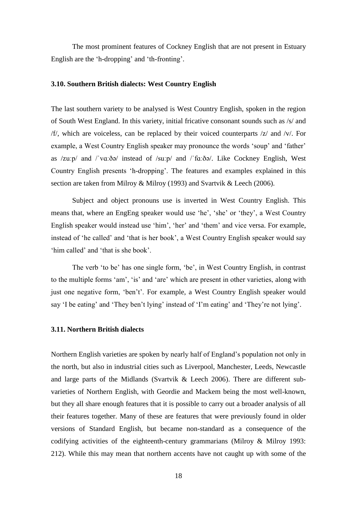The most prominent features of Cockney English that are not present in Estuary English are the 'h-dropping' and 'th-fronting'.

#### **3.10. Southern British dialects: West Country English**

The last southern variety to be analysed is West Country English, spoken in the region of South West England. In this variety, initial fricative consonant sounds such as /s/ and /f/, which are voiceless, can be replaced by their voiced counterparts /z/ and /v/. For example, a West Country English speaker may pronounce the words 'soup' and 'father' as /zuːp/ and /ˈvɑːðə/ instead of /suːp/ and /ˈfɑːðə/. Like Cockney English, West Country English presents 'h-dropping'. The features and examples explained in this section are taken from Milroy & Milroy (1993) and Svartvik & Leech (2006).

Subject and object pronouns use is inverted in West Country English. This means that, where an EngEng speaker would use 'he', 'she' or 'they', a West Country English speaker would instead use 'him', 'her' and 'them' and vice versa. For example, instead of 'he called' and 'that is her book', a West Country English speaker would say 'him called' and 'that is she book'.

The verb 'to be' has one single form, 'be', in West Country English, in contrast to the multiple forms 'am', 'is' and 'are' which are present in other varieties, along with just one negative form, 'ben't'. For example, a West Country English speaker would say 'I be eating' and 'They ben't lying' instead of 'I'm eating' and 'They're not lying'.

#### **3.11. Northern British dialects**

Northern English varieties are spoken by nearly half of England's population not only in the north, but also in industrial cities such as Liverpool, Manchester, Leeds, Newcastle and large parts of the Midlands (Svartvik & Leech 2006). There are different subvarieties of Northern English, with Geordie and Mackem being the most well-known, but they all share enough features that it is possible to carry out a broader analysis of all their features together. Many of these are features that were previously found in older versions of Standard English, but became non-standard as a consequence of the codifying activities of the eighteenth-century grammarians (Milroy & Milroy 1993: 212). While this may mean that northern accents have not caught up with some of the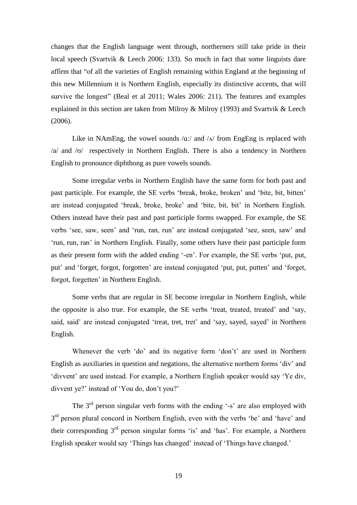changes that the English language went through, northerners still take pride in their local speech (Svartvik & Leech 2006: 133). So much in fact that some linguists dare affirm that "of all the varieties of English remaining within England at the beginning of this new Millennium it is Northern English, especially its distinctive accents, that will survive the longest" (Beal et al 2011; Wales 2006: 211). The features and examples explained in this section are taken from Milroy & Milroy (1993) and Svartvik & Leech (2006).

Like in NAmEng, the vowel sounds  $\alpha$ :/ and  $\alpha$  from EngEng is replaced with /a/ and /ʊ/ respectively in Northern English. There is also a tendency in Northern English to pronounce diphthong as pure vowels sounds.

Some irregular verbs in Northern English have the same form for both past and past participle. For example, the SE verbs 'break, broke, broken' and 'bite, bit, bitten' are instead conjugated 'break, broke, broke' and 'bite, bit, bit' in Northern English. Others instead have their past and past participle forms swapped. For example, the SE verbs 'see, saw, seen' and 'run, ran, run' are instead conjugated 'see, seen, saw' and 'run, run, ran' in Northern English. Finally, some others have their past participle form as their present form with the added ending '-en'. For example, the SE verbs 'put, put, put' and 'forget, forgot, forgotten' are instead conjugated 'put, put, putten' and 'forget, forgot, forgetten' in Northern English.

Some verbs that are regular in SE become irregular in Northern English, while the opposite is also true. For example, the SE verbs 'treat, treated, treated' and 'say, said, said' are instead conjugated 'treat, tret, tret' and 'say, sayed, sayed' in Northern English.

Whenever the verb 'do' and its negative form 'don't' are used in Northern English as auxiliaries in question and negations, the alternative northern forms 'div' and 'divvent' are used instead. For example, a Northern English speaker would say 'Ye div, divvent ye?' instead of 'You do, don't you?'

The  $3<sup>rd</sup>$  person singular verb forms with the ending '-s' are also employed with 3<sup>rd</sup> person plural concord in Northern English, even with the verbs 'be' and 'have' and their corresponding 3rd person singular forms 'is' and 'has'. For example, a Northern English speaker would say 'Things has changed' instead of 'Things have changed.'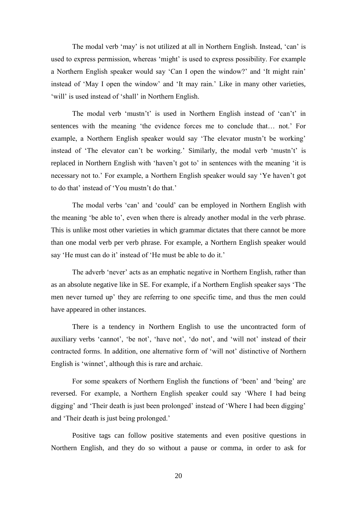The modal verb 'may' is not utilized at all in Northern English. Instead, 'can' is used to express permission, whereas 'might' is used to express possibility. For example a Northern English speaker would say 'Can I open the window?' and 'It might rain' instead of 'May I open the window' and 'It may rain.' Like in many other varieties, 'will' is used instead of 'shall' in Northern English.

The modal verb 'mustn't' is used in Northern English instead of 'can't' in sentences with the meaning 'the evidence forces me to conclude that… not.' For example, a Northern English speaker would say 'The elevator mustn't be working' instead of 'The elevator can't be working.' Similarly, the modal verb 'mustn't' is replaced in Northern English with 'haven't got to' in sentences with the meaning 'it is necessary not to.' For example, a Northern English speaker would say 'Ye haven't got to do that' instead of 'You mustn't do that.'

The modal verbs 'can' and 'could' can be employed in Northern English with the meaning 'be able to', even when there is already another modal in the verb phrase. This is unlike most other varieties in which grammar dictates that there cannot be more than one modal verb per verb phrase. For example, a Northern English speaker would say 'He must can do it' instead of 'He must be able to do it.'

The adverb 'never' acts as an emphatic negative in Northern English, rather than as an absolute negative like in SE. For example, if a Northern English speaker says 'The men never turned up' they are referring to one specific time, and thus the men could have appeared in other instances.

There is a tendency in Northern English to use the uncontracted form of auxiliary verbs 'cannot', 'be not', 'have not', 'do not', and 'will not' instead of their contracted forms. In addition, one alternative form of 'will not' distinctive of Northern English is 'winnet', although this is rare and archaic.

For some speakers of Northern English the functions of 'been' and 'being' are reversed. For example, a Northern English speaker could say 'Where I had being digging' and 'Their death is just been prolonged' instead of 'Where I had been digging' and 'Their death is just being prolonged.'

Positive tags can follow positive statements and even positive questions in Northern English, and they do so without a pause or comma, in order to ask for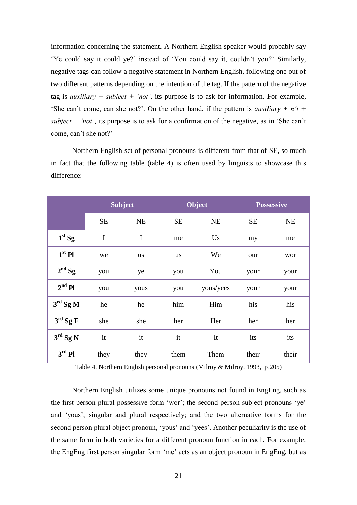information concerning the statement. A Northern English speaker would probably say 'Ye could say it could ye?' instead of 'You could say it, couldn't you?' Similarly, negative tags can follow a negative statement in Northern English, following one out of two different patterns depending on the intention of the tag. If the pattern of the negative tag is *auxiliary + subject + 'not'*, its purpose is to ask for information. For example, 'She can't come, can she not?'. On the other hand, if the pattern is *auxiliary + n't + subject + 'not'*, its purpose is to ask for a confirmation of the negative, as in 'She can't come, can't she not?'

Northern English set of personal pronouns is different from that of SE, so much in fact that the following table (table 4) is often used by linguists to showcase this difference:

|                   |           | <b>Subject</b> |           | Object    |           | <b>Possessive</b> |
|-------------------|-----------|----------------|-----------|-----------|-----------|-------------------|
|                   | <b>SE</b> | NE             | <b>SE</b> | NE        | <b>SE</b> | <b>NE</b>         |
| $1st$ Sg          | I         | I              | me        | Us        | my        | me                |
| $1st$ Pl          | we        | us             | us        | We        | our       | wor               |
| $2nd$ Sg          | you       | ye             | you       | You       | your      | your              |
| $2nd$ Pl          | you       | yous           | you       | yous/yees | your      | your              |
| $3rd$ Sg M        | he        | he             | him       | Him       | his       | his               |
| $3rd$ Sg F        | she       | she            | her       | Her       | her       | her               |
| $3^{\rm rd}$ Sg N | it        | it             | it        | It        | its       | its               |
| $3rd$ Pl          | they      | they           | them      | Them      | their     | their             |

Table 4. Northern English personal pronouns (Milroy & Milroy, 1993, p.205)

Northern English utilizes some unique pronouns not found in EngEng, such as the first person plural possessive form 'wor'; the second person subject pronouns 'ye' and 'yous', singular and plural respectively; and the two alternative forms for the second person plural object pronoun, 'yous' and 'yees'. Another peculiarity is the use of the same form in both varieties for a different pronoun function in each. For example, the EngEng first person singular form 'me' acts as an object pronoun in EngEng, but as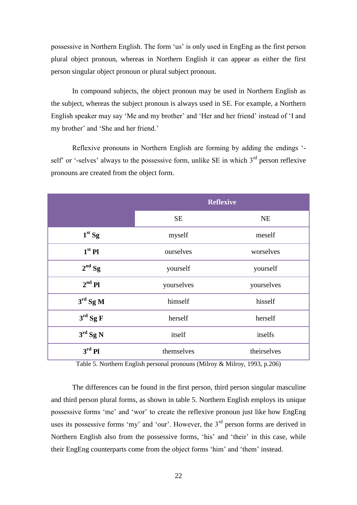possessive in Northern English. The form 'us' is only used in EngEng as the first person plural object pronoun, whereas in Northern English it can appear as either the first person singular object pronoun or plural subject pronoun.

In compound subjects, the object pronoun may be used in Northern English as the subject, whereas the subject pronoun is always used in SE. For example, a Northern English speaker may say 'Me and my brother' and 'Her and her friend' instead of 'I and my brother' and 'She and her friend.'

Reflexive pronouns in Northern English are forming by adding the endings ' self' or '-selves' always to the possessive form, unlike SE in which  $3<sup>rd</sup>$  person reflexive pronouns are created from the object form.

|                   | <b>Reflexive</b> |             |
|-------------------|------------------|-------------|
|                   | <b>SE</b>        | <b>NE</b>   |
| $1st$ Sg          | myself           | meself      |
| $1st$ Pl          | ourselves        | worselves   |
| $2nd$ Sg          | yourself         | yourself    |
| $2nd$ Pl          | yourselves       | yourselves  |
| $3rd$ Sg M        | himself          | hisself     |
| $3^{\rm rd}$ Sg F | herself          | herself     |
| $3rd$ Sg N        | itself           | itselfs     |
| $3rd$ Pl          | themselves       | theirselves |

Table 5. Northern English personal pronouns (Milroy & Milroy, 1993, p.206)

The differences can be found in the first person, third person singular masculine and third person plural forms, as shown in table 5. Northern English employs its unique possessive forms 'me' and 'wor' to create the reflexive pronoun just like how EngEng uses its possessive forms 'my' and 'our'. However, the 3<sup>rd</sup> person forms are derived in Northern English also from the possessive forms, 'his' and 'their' in this case, while their EngEng counterparts come from the object forms 'him' and 'them' instead.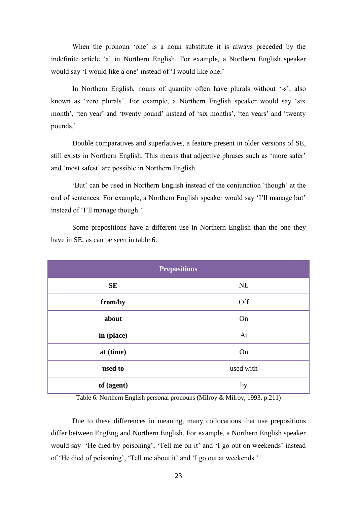When the pronoun 'one' is a noun substitute it is always preceded by the indefinite article 'a' in Northern English. For example, a Northern English speaker would say 'I would like a one' instead of 'I would like one.'

In Northern English, nouns of quantity often have plurals without '-s', also known as 'zero plurals'. For example, a Northern English speaker would say 'six month', 'ten year' and 'twenty pound' instead of 'six months', 'ten years' and 'twenty pounds.'

Double comparatives and superlatives, a feature present in older versions of SE, still exists in Northern English. This means that adjective phrases such as 'more safer' and 'most safest' are possible in Northern English.

'But' can be used in Northern English instead of the conjunction 'though' at the end of sentences. For example, a Northern English speaker would say 'I'll manage but' instead of 'I'll manage though.'

Some prepositions have a different use in Northern English than the one they have in SE, as can be seen in table 6:

| <b>Prepositions</b> |           |  |
|---------------------|-----------|--|
| <b>SE</b>           | NE        |  |
| from/by             | Off       |  |
| about               | On        |  |
| in (place)          | At        |  |
| at (time)           | On        |  |
| used to             | used with |  |
| of (agent)          | by        |  |

Table 6. Northern English personal pronouns (Milroy & Milroy, 1993, p.211)

Due to these differences in meaning, many collocations that use prepositions differ between EngEng and Northern English. For example, a Northern English speaker would say 'He died by poisoning', 'Tell me on it' and 'I go out on weekends' instead of 'He died of poisoning', 'Tell me about it' and 'I go out at weekends.'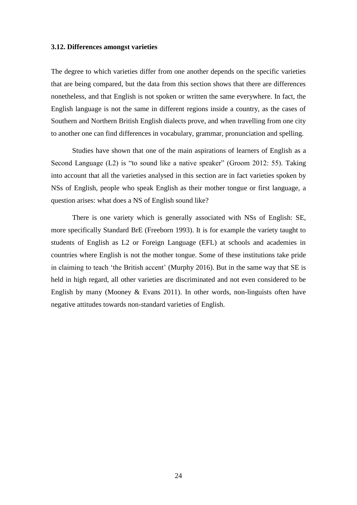#### **3.12. Differences amongst varieties**

The degree to which varieties differ from one another depends on the specific varieties that are being compared, but the data from this section shows that there are differences nonetheless, and that English is not spoken or written the same everywhere. In fact, the English language is not the same in different regions inside a country, as the cases of Southern and Northern British English dialects prove, and when travelling from one city to another one can find differences in vocabulary, grammar, pronunciation and spelling.

Studies have shown that one of the main aspirations of learners of English as a Second Language (L2) is "to sound like a native speaker" (Groom 2012: 55). Taking into account that all the varieties analysed in this section are in fact varieties spoken by NSs of English, people who speak English as their mother tongue or first language, a question arises: what does a NS of English sound like?

There is one variety which is generally associated with NSs of English: SE, more specifically Standard BrE (Freeborn 1993). It is for example the variety taught to students of English as L2 or Foreign Language (EFL) at schools and academies in countries where English is not the mother tongue. Some of these institutions take pride in claiming to teach 'the British accent' (Murphy 2016). But in the same way that SE is held in high regard, all other varieties are discriminated and not even considered to be English by many (Mooney & Evans 2011). In other words, non-linguists often have negative attitudes towards non-standard varieties of English.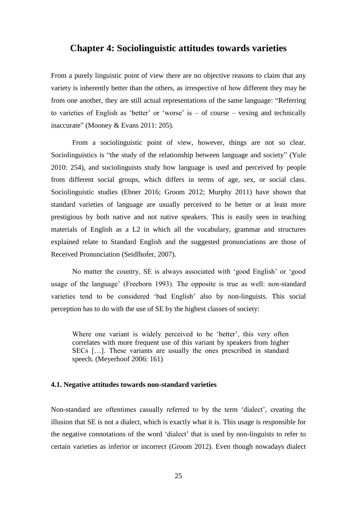### **Chapter 4: Sociolinguistic attitudes towards varieties**

From a purely linguistic point of view there are no objective reasons to claim that any variety is inherently better than the others, as irrespective of how different they may be from one another, they are still actual representations of the same language: "Referring to varieties of English as 'better' or 'worse' is  $-$  of course  $-$  vexing and technically inaccurate" (Mooney & Evans 2011: 205).

From a sociolinguistic point of view, however, things are not so clear. Sociolinguistics is "the study of the relationship between language and society" (Yule 2010: 254), and sociolinguists study how language is used and perceived by people from different social groups, which differs in terms of age, sex, or social class. Sociolinguistic studies (Ebner 2016; Groom 2012; Murphy 2011) have shown that standard varieties of language are usually perceived to be better or at least more prestigious by both native and not native speakers. This is easily seen in teaching materials of English as a L2 in which all the vocabulary, grammar and structures explained relate to Standard English and the suggested pronunciations are those of Received Pronunciation (Seidlhofer, 2007).

No matter the country, SE is always associated with 'good English' or 'good usage of the language' (Freeborn 1993). The opposite is true as well: non-standard varieties tend to be considered 'bad English' also by non-linguists. This social perception has to do with the use of SE by the highest classes of society:

Where one variant is widely perceived to be 'better', this very often correlates with more frequent use of this variant by speakers from higher SECs […]. These variants are usually the ones prescribed in standard speech. (Meyerhoof 2006: 161)

#### **4.1. Negative attitudes towards non-standard varieties**

Non-standard are oftentimes casually referred to by the term 'dialect', creating the illusion that SE is not a dialect, which is exactly what it is. This usage is responsible for the negative connotations of the word 'dialect' that is used by non-linguists to refer to certain varieties as inferior or incorrect (Groom 2012). Even though nowadays dialect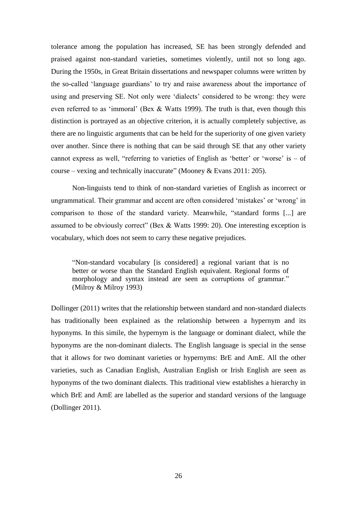tolerance among the population has increased, SE has been strongly defended and praised against non-standard varieties, sometimes violently, until not so long ago. During the 1950s, in Great Britain dissertations and newspaper columns were written by the so-called 'language guardians' to try and raise awareness about the importance of using and preserving SE. Not only were 'dialects' considered to be wrong: they were even referred to as 'immoral' (Bex & Watts 1999). The truth is that, even though this distinction is portrayed as an objective criterion, it is actually completely subjective, as there are no linguistic arguments that can be held for the superiority of one given variety over another. Since there is nothing that can be said through SE that any other variety cannot express as well, "referring to varieties of English as 'better' or 'worse' is  $-$  of course – vexing and technically inaccurate" (Mooney & Evans 2011: 205).

Non-linguists tend to think of non-standard varieties of English as incorrect or ungrammatical. Their grammar and accent are often considered 'mistakes' or 'wrong' in comparison to those of the standard variety. Meanwhile, "standard forms [...] are assumed to be obviously correct" (Bex & Watts 1999: 20). One interesting exception is vocabulary, which does not seem to carry these negative prejudices.

"Non-standard vocabulary [is considered] a regional variant that is no better or worse than the Standard English equivalent. Regional forms of morphology and syntax instead are seen as corruptions of grammar." (Milroy & Milroy 1993)

Dollinger (2011) writes that the relationship between standard and non-standard dialects has traditionally been explained as the relationship between a hypernym and its hyponyms. In this simile, the hypernym is the language or dominant dialect, while the hyponyms are the non-dominant dialects. The English language is special in the sense that it allows for two dominant varieties or hypernyms: BrE and AmE. All the other varieties, such as Canadian English, Australian English or Irish English are seen as hyponyms of the two dominant dialects. This traditional view establishes a hierarchy in which BrE and AmE are labelled as the superior and standard versions of the language (Dollinger 2011).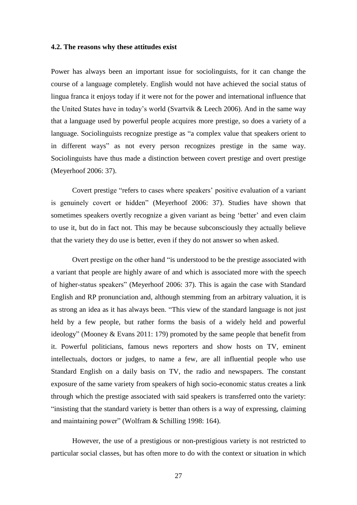#### **4.2. The reasons why these attitudes exist**

Power has always been an important issue for sociolinguists, for it can change the course of a language completely. English would not have achieved the social status of lingua franca it enjoys today if it were not for the power and international influence that the United States have in today's world (Svartvik & Leech 2006). And in the same way that a language used by powerful people acquires more prestige, so does a variety of a language. Sociolinguists recognize prestige as "a complex value that speakers orient to in different ways" as not every person recognizes prestige in the same way. Sociolinguists have thus made a distinction between covert prestige and overt prestige (Meyerhoof 2006: 37).

Covert prestige "refers to cases where speakers' positive evaluation of a variant is genuinely covert or hidden" (Meyerhoof 2006: 37). Studies have shown that sometimes speakers overtly recognize a given variant as being 'better' and even claim to use it, but do in fact not. This may be because subconsciously they actually believe that the variety they do use is better, even if they do not answer so when asked.

Overt prestige on the other hand "is understood to be the prestige associated with a variant that people are highly aware of and which is associated more with the speech of higher-status speakers" (Meyerhoof 2006: 37). This is again the case with Standard English and RP pronunciation and, although stemming from an arbitrary valuation, it is as strong an idea as it has always been. "This view of the standard language is not just held by a few people, but rather forms the basis of a widely held and powerful ideology" (Mooney & Evans 2011: 179) promoted by the same people that benefit from it. Powerful politicians, famous news reporters and show hosts on TV, eminent intellectuals, doctors or judges, to name a few, are all influential people who use Standard English on a daily basis on TV, the radio and newspapers. The constant exposure of the same variety from speakers of high socio-economic status creates a link through which the prestige associated with said speakers is transferred onto the variety: "insisting that the standard variety is better than others is a way of expressing, claiming and maintaining power" (Wolfram & Schilling 1998: 164).

However, the use of a prestigious or non-prestigious variety is not restricted to particular social classes, but has often more to do with the context or situation in which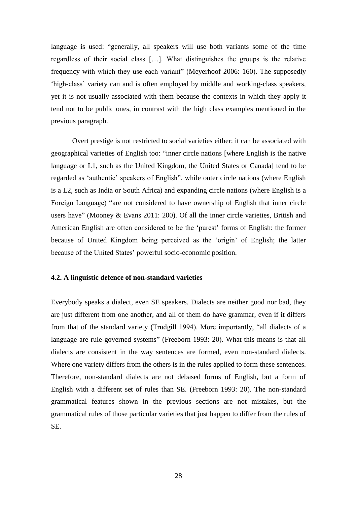language is used: "generally, all speakers will use both variants some of the time regardless of their social class […]. What distinguishes the groups is the relative frequency with which they use each variant" (Meyerhoof 2006: 160). The supposedly 'high-class' variety can and is often employed by middle and working-class speakers, yet it is not usually associated with them because the contexts in which they apply it tend not to be public ones, in contrast with the high class examples mentioned in the previous paragraph.

Overt prestige is not restricted to social varieties either: it can be associated with geographical varieties of English too: "inner circle nations [where English is the native language or L1, such as the United Kingdom, the United States or Canada] tend to be regarded as 'authentic' speakers of English", while outer circle nations (where English is a L2, such as India or South Africa) and expanding circle nations (where English is a Foreign Language) "are not considered to have ownership of English that inner circle users have" (Mooney & Evans 2011: 200). Of all the inner circle varieties, British and American English are often considered to be the 'purest' forms of English: the former because of United Kingdom being perceived as the 'origin' of English; the latter because of the United States' powerful socio-economic position.

#### **4.2. A linguistic defence of non-standard varieties**

Everybody speaks a dialect, even SE speakers. Dialects are neither good nor bad, they are just different from one another, and all of them do have grammar, even if it differs from that of the standard variety (Trudgill 1994). More importantly, "all dialects of a language are rule-governed systems" (Freeborn 1993: 20). What this means is that all dialects are consistent in the way sentences are formed, even non-standard dialects. Where one variety differs from the others is in the rules applied to form these sentences. Therefore, non-standard dialects are not debased forms of English, but a form of English with a different set of rules than SE. (Freeborn 1993: 20). The non-standard grammatical features shown in the previous sections are not mistakes, but the grammatical rules of those particular varieties that just happen to differ from the rules of SE.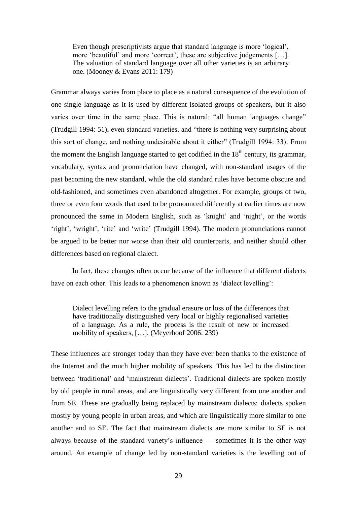Even though prescriptivists argue that standard language is more 'logical', more 'beautiful' and more 'correct', these are subjective judgements […]. The valuation of standard language over all other varieties is an arbitrary one. (Mooney & Evans 2011: 179)

Grammar always varies from place to place as a natural consequence of the evolution of one single language as it is used by different isolated groups of speakers, but it also varies over time in the same place. This is natural: "all human languages change" (Trudgill 1994: 51), even standard varieties, and "there is nothing very surprising about this sort of change, and nothing undesirable about it either" (Trudgill 1994: 33). From the moment the English language started to get codified in the  $18<sup>th</sup>$  century, its grammar, vocabulary, syntax and pronunciation have changed, with non-standard usages of the past becoming the new standard, while the old standard rules have become obscure and old-fashioned, and sometimes even abandoned altogether. For example, groups of two, three or even four words that used to be pronounced differently at earlier times are now pronounced the same in Modern English, such as 'knight' and 'night', or the words 'right', 'wright', 'rite' and 'write' (Trudgill 1994). The modern pronunciations cannot be argued to be better nor worse than their old counterparts, and neither should other differences based on regional dialect.

In fact, these changes often occur because of the influence that different dialects have on each other. This leads to a phenomenon known as 'dialect levelling':

Dialect levelling refers to the gradual erasure or loss of the differences that have traditionally distinguished very local or highly regionalised varieties of a language. As a rule, the process is the result of new or increased mobility of speakers, […]. (Meyerhoof 2006: 239)

These influences are stronger today than they have ever been thanks to the existence of the Internet and the much higher mobility of speakers. This has led to the distinction between 'traditional' and 'mainstream dialects'. Traditional dialects are spoken mostly by old people in rural areas, and are linguistically very different from one another and from SE. These are gradually being replaced by mainstream dialects: dialects spoken mostly by young people in urban areas, and which are linguistically more similar to one another and to SE. The fact that mainstream dialects are more similar to SE is not always because of the standard variety's influence — sometimes it is the other way around. An example of change led by non-standard varieties is the levelling out of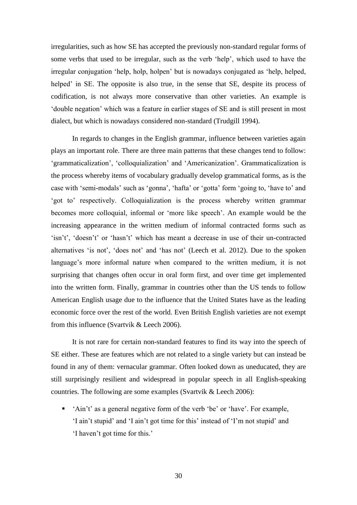irregularities, such as how SE has accepted the previously non-standard regular forms of some verbs that used to be irregular, such as the verb 'help', which used to have the irregular conjugation 'help, holp, holpen' but is nowadays conjugated as 'help, helped, helped' in SE. The opposite is also true, in the sense that SE, despite its process of codification, is not always more conservative than other varieties. An example is 'double negation' which was a feature in earlier stages of SE and is still present in most dialect, but which is nowadays considered non-standard (Trudgill 1994).

In regards to changes in the English grammar, influence between varieties again plays an important role. There are three main patterns that these changes tend to follow: 'grammaticalization', 'colloquialization' and 'Americanization'. Grammaticalization is the process whereby items of vocabulary gradually develop grammatical forms, as is the case with 'semi-modals' such as 'gonna', 'hafta' or 'gotta' form 'going to, 'have to' and 'got to' respectively. Colloquialization is the process whereby written grammar becomes more colloquial, informal or 'more like speech'. An example would be the increasing appearance in the written medium of informal contracted forms such as 'isn't', 'doesn't' or 'hasn't' which has meant a decrease in use of their un-contracted alternatives 'is not', 'does not' and 'has not' (Leech et al. 2012). Due to the spoken language's more informal nature when compared to the written medium, it is not surprising that changes often occur in oral form first, and over time get implemented into the written form. Finally, grammar in countries other than the US tends to follow American English usage due to the influence that the United States have as the leading economic force over the rest of the world. Even British English varieties are not exempt from this influence (Svartvik & Leech 2006).

It is not rare for certain non-standard features to find its way into the speech of SE either. These are features which are not related to a single variety but can instead be found in any of them: vernacular grammar. Often looked down as uneducated, they are still surprisingly resilient and widespread in popular speech in all English-speaking countries. The following are some examples (Svartvik & Leech 2006):

 'Ain't' as a general negative form of the verb 'be' or 'have'. For example, 'I ain't stupid' and 'I ain't got time for this' instead of 'I'm not stupid' and 'I haven't got time for this.'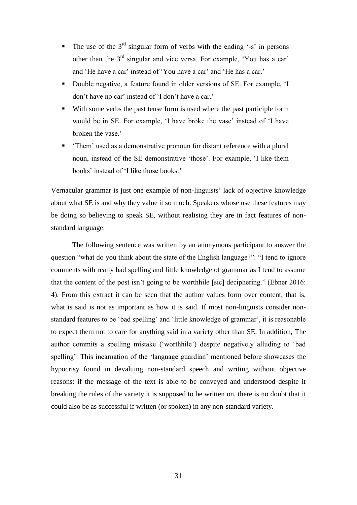- The use of the  $3<sup>rd</sup>$  singular form of verbs with the ending '-s' in persons other than the  $3<sup>rd</sup>$  singular and vice versa. For example, 'You has a car' and 'He have a car' instead of 'You have a car' and 'He has a car.'
- Double negative, a feature found in older versions of SE. For example, 'I don't have no car' instead of 'I don't have a car.'
- With some verbs the past tense form is used where the past participle form would be in SE. For example, 'I have broke the vase' instead of 'I have broken the vase.'
- 'Them' used as a demonstrative pronoun for distant reference with a plural noun, instead of the SE demonstrative 'those'. For example, 'I like them books' instead of 'I like those books.'

Vernacular grammar is just one example of non-linguists' lack of objective knowledge about what SE is and why they value it so much. Speakers whose use these features may be doing so believing to speak SE, without realising they are in fact features of nonstandard language.

The following sentence was written by an anonymous participant to answer the question "what do you think about the state of the English language?": "I tend to ignore comments with really bad spelling and little knowledge of grammar as I tend to assume that the content of the post isn't going to be worthhile [sic] deciphering." (Ebner 2016: 4). From this extract it can be seen that the author values form over content, that is, what is said is not as important as how it is said. If most non-linguists consider nonstandard features to be 'bad spelling' and 'little knowledge of grammar', it is reasonable to expect them not to care for anything said in a variety other than SE. In addition, The author commits a spelling mistake ('worthhile') despite negatively alluding to 'bad spelling'. This incarnation of the 'language guardian' mentioned before showcases the hypocrisy found in devaluing non-standard speech and writing without objective reasons: if the message of the text is able to be conveyed and understood despite it breaking the rules of the variety it is supposed to be written on, there is no doubt that it could also be as successful if written (or spoken) in any non-standard variety.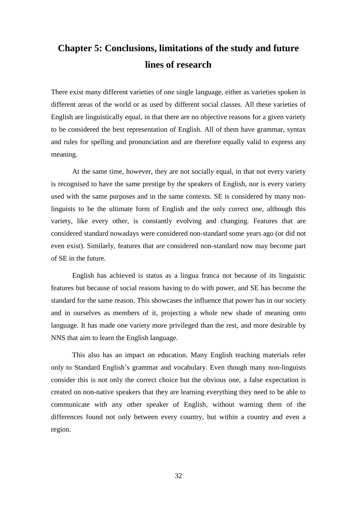# **Chapter 5: Conclusions, limitations of the study and future lines of research**

There exist many different varieties of one single language, either as varieties spoken in different areas of the world or as used by different social classes. All these varieties of English are linguistically equal, in that there are no objective reasons for a given variety to be considered the best representation of English. All of them have grammar, syntax and rules for spelling and pronunciation and are therefore equally valid to express any meaning.

At the same time, however, they are not socially equal, in that not every variety is recognised to have the same prestige by the speakers of English, nor is every variety used with the same purposes and in the same contexts. SE is considered by many nonlinguists to be the ultimate form of English and the only correct one, although this variety, like every other, is constantly evolving and changing. Features that are considered standard nowadays were considered non-standard some years ago (or did not even exist). Similarly, features that are considered non-standard now may become part of SE in the future.

English has achieved is status as a lingua franca not because of its linguistic features but because of social reasons having to do with power, and SE has become the standard for the same reason. This showcases the influence that power has in our society and in ourselves as members of it, projecting a whole new shade of meaning onto language. It has made one variety more privileged than the rest, and more desirable by NNS that aim to learn the English language.

This also has an impact on education. Many English teaching materials refer only to Standard English's grammar and vocabulary. Even though many non-linguists consider this is not only the correct choice but the obvious one, a false expectation is created on non-native speakers that they are learning everything they need to be able to communicate with any other speaker of English, without warning them of the differences found not only between every country, but within a country and even a region.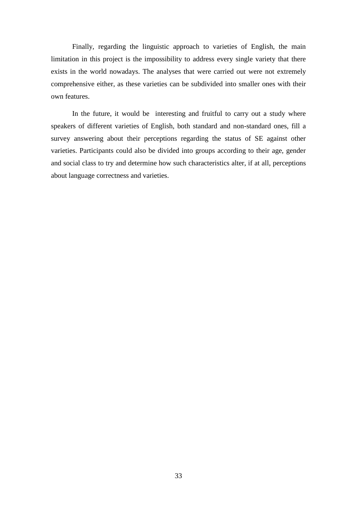Finally, regarding the linguistic approach to varieties of English, the main limitation in this project is the impossibility to address every single variety that there exists in the world nowadays. The analyses that were carried out were not extremely comprehensive either, as these varieties can be subdivided into smaller ones with their own features.

In the future, it would be interesting and fruitful to carry out a study where speakers of different varieties of English, both standard and non-standard ones, fill a survey answering about their perceptions regarding the status of SE against other varieties. Participants could also be divided into groups according to their age, gender and social class to try and determine how such characteristics alter, if at all, perceptions about language correctness and varieties.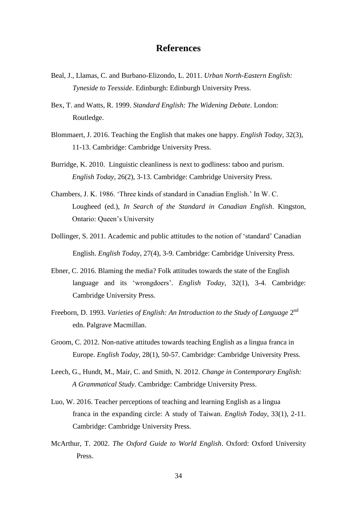### **References**

- Beal, J., Llamas, C. and Burbano-Elizondo, L. 2011. *Urban North-Eastern English: Tyneside to Teesside*. Edinburgh: Edinburgh University Press.
- Bex, T. and Watts, R. 1999. *Standard English: The Widening Debate*. London: Routledge.
- Blommaert, J. 2016. Teaching the English that makes one happy. *English Today*, 32(3), 11-13. Cambridge: Cambridge University Press.
- Burridge, K. 2010. Linguistic cleanliness is next to godliness: taboo and purism. *English Today*, 26(2), 3-13. Cambridge: Cambridge University Press.
- Chambers, J. K. 1986. 'Three kinds of standard in Canadian English.' In W. C. Lougheed (ed.), *In Search of the Standard in Canadian English*. Kingston, Ontario: Queen's University
- Dollinger, S. 2011. Academic and public attitudes to the notion of 'standard' Canadian English. *English Today*, 27(4), 3-9. Cambridge: Cambridge University Press.
- Ebner, C. 2016. Blaming the media? Folk attitudes towards the state of the English language and its 'wrongdoers'. *English Today*, 32(1), 3-4. Cambridge: Cambridge University Press.
- Freeborn, D. 1993. *Varieties of English: An Introduction to the Study of Language* 2<sup>nd</sup> edn. Palgrave Macmillan.
- Groom, C. 2012. Non-native attitudes towards teaching English as a lingua franca in Europe. *English Today*, 28(1), 50-57. Cambridge: Cambridge University Press.
- Leech, G., Hundt, M., Mair, C. and Smith, N. 2012. *Change in Contemporary English: A Grammatical Study*. Cambridge: Cambridge University Press.
- Luo, W. 2016. Teacher perceptions of teaching and learning English as a lingua franca in the expanding circle: A study of Taiwan. *English Today*, 33(1), 2-11. Cambridge: Cambridge University Press.
- McArthur, T. 2002. *The Oxford Guide to World English*. Oxford: Oxford University Press.